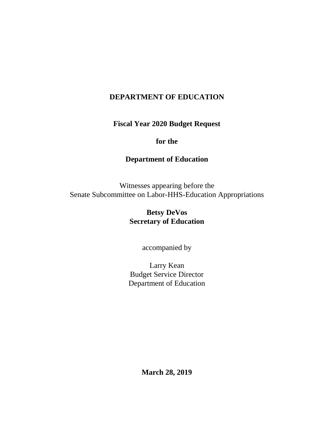## **DEPARTMENT OF EDUCATION**

**Fiscal Year 2020 Budget Request**

### **for the**

### **Department of Education**

Witnesses appearing before the Senate Subcommittee on Labor-HHS-Education Appropriations

# **Betsy DeVos Secretary of Education**

accompanied by

Larry Kean Budget Service Director Department of Education

**March 28, 2019**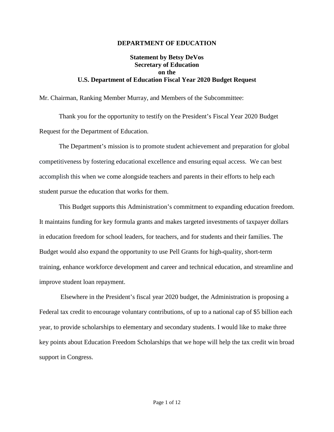#### **DEPARTMENT OF EDUCATION**

### **Statement by Betsy DeVos Secretary of Education on the U.S. Department of Education Fiscal Year 2020 Budget Request**

Mr. Chairman, Ranking Member Murray, and Members of the Subcommittee:

Thank you for the opportunity to testify on the President's Fiscal Year 2020 Budget Request for the Department of Education.

The Department's mission is to promote student achievement and preparation for global competitiveness by fostering educational excellence and ensuring equal access. We can best accomplish this when we come alongside teachers and parents in their efforts to help each student pursue the education that works for them.

This Budget supports this Administration's commitment to expanding education freedom. It maintains funding for key formula grants and makes targeted investments of taxpayer dollars in education freedom for school leaders, for teachers, and for students and their families. The Budget would also expand the opportunity to use Pell Grants for high-quality, short-term training, enhance workforce development and career and technical education, and streamline and improve student loan repayment.

Elsewhere in the President's fiscal year 2020 budget, the Administration is proposing a Federal tax credit to encourage voluntary contributions, of up to a national cap of \$5 billion each year, to provide scholarships to elementary and secondary students. I would like to make three key points about Education Freedom Scholarships that we hope will help the tax credit win broad support in Congress.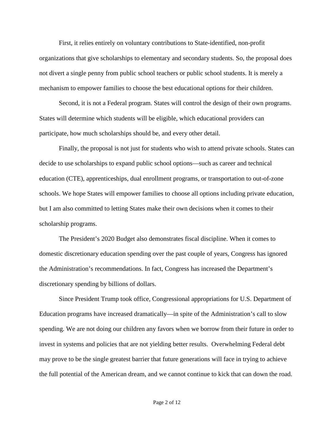First, it relies entirely on voluntary contributions to State-identified, non-profit organizations that give scholarships to elementary and secondary students. So, the proposal does not divert a single penny from public school teachers or public school students. It is merely a mechanism to empower families to choose the best educational options for their children.

Second, it is not a Federal program. States will control the design of their own programs. States will determine which students will be eligible, which educational providers can participate, how much scholarships should be, and every other detail.

Finally, the proposal is not just for students who wish to attend private schools. States can decide to use scholarships to expand public school options—such as career and technical education (CTE), apprenticeships, dual enrollment programs, or transportation to out-of-zone schools. We hope States will empower families to choose all options including private education, but I am also committed to letting States make their own decisions when it comes to their scholarship programs.

The President's 2020 Budget also demonstrates fiscal discipline. When it comes to domestic discretionary education spending over the past couple of years, Congress has ignored the Administration's recommendations. In fact, Congress has increased the Department's discretionary spending by billions of dollars.

Since President Trump took office, Congressional appropriations for U.S. Department of Education programs have increased dramatically—in spite of the Administration's call to slow spending. We are not doing our children any favors when we borrow from their future in order to invest in systems and policies that are not yielding better results. Overwhelming Federal debt may prove to be the single greatest barrier that future generations will face in trying to achieve the full potential of the American dream, and we cannot continue to kick that can down the road.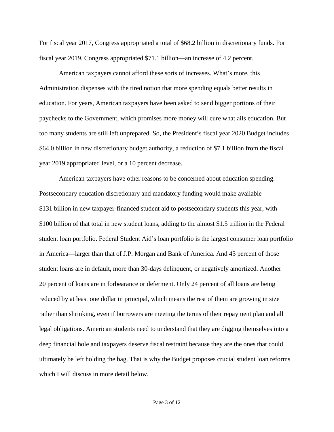For fiscal year 2017, Congress appropriated a total of \$68.2 billion in discretionary funds. For fiscal year 2019, Congress appropriated \$71.1 billion—an increase of 4.2 percent.

American taxpayers cannot afford these sorts of increases. What's more, this Administration dispenses with the tired notion that more spending equals better results in education. For years, American taxpayers have been asked to send bigger portions of their paychecks to the Government, which promises more money will cure what ails education. But too many students are still left unprepared. So, the President's fiscal year 2020 Budget includes \$64.0 billion in new discretionary budget authority, a reduction of \$7.1 billion from the fiscal year 2019 appropriated level, or a 10 percent decrease.

American taxpayers have other reasons to be concerned about education spending. Postsecondary education discretionary and mandatory funding would make available \$131 billion in new taxpayer-financed student aid to postsecondary students this year, with \$100 billion of that total in new student loans, adding to the almost \$1.5 trillion in the Federal student loan portfolio. Federal Student Aid's loan portfolio is the largest consumer loan portfolio in America—larger than that of J.P. Morgan and Bank of America. And 43 percent of those student loans are in default, more than 30-days delinquent, or negatively amortized. Another 20 percent of loans are in forbearance or deferment. Only 24 percent of all loans are being reduced by at least one dollar in principal, which means the rest of them are growing in size rather than shrinking, even if borrowers are meeting the terms of their repayment plan and all legal obligations. American students need to understand that they are digging themselves into a deep financial hole and taxpayers deserve fiscal restraint because they are the ones that could ultimately be left holding the bag. That is why the Budget proposes crucial student loan reforms which I will discuss in more detail below.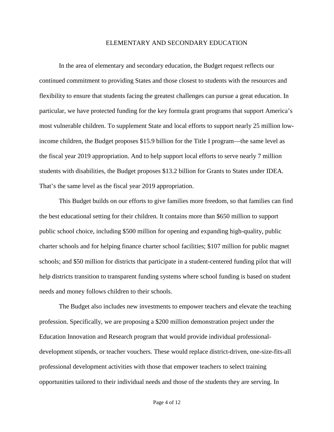#### ELEMENTARY AND SECONDARY EDUCATION

In the area of elementary and secondary education, the Budget request reflects our continued commitment to providing States and those closest to students with the resources and flexibility to ensure that students facing the greatest challenges can pursue a great education. In particular, we have protected funding for the key formula grant programs that support America's most vulnerable children. To supplement State and local efforts to support nearly 25 million lowincome children, the Budget proposes \$15.9 billion for the Title I program—the same level as the fiscal year 2019 appropriation. And to help support local efforts to serve nearly 7 million students with disabilities, the Budget proposes \$13.2 billion for Grants to States under IDEA. That's the same level as the fiscal year 2019 appropriation.

This Budget builds on our efforts to give families more freedom, so that families can find the best educational setting for their children. It contains more than \$650 million to support public school choice, including \$500 million for opening and expanding high-quality, public charter schools and for helping finance charter school facilities; \$107 million for public magnet schools; and \$50 million for districts that participate in a student-centered funding pilot that will help districts transition to transparent funding systems where school funding is based on student needs and money follows children to their schools.

The Budget also includes new investments to empower teachers and elevate the teaching profession. Specifically, we are proposing a \$200 million demonstration project under the Education Innovation and Research program that would provide individual professionaldevelopment stipends, or teacher vouchers. These would replace district-driven, one-size-fits-all professional development activities with those that empower teachers to select training opportunities tailored to their individual needs and those of the students they are serving. In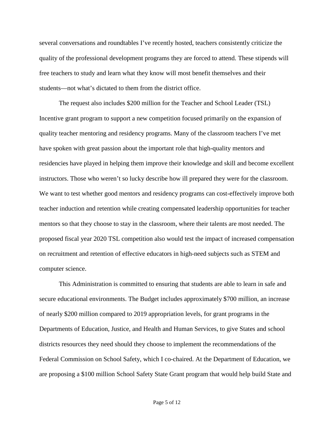several conversations and roundtables I've recently hosted, teachers consistently criticize the quality of the professional development programs they are forced to attend. These stipends will free teachers to study and learn what they know will most benefit themselves and their students—not what's dictated to them from the district office.

The request also includes \$200 million for the Teacher and School Leader (TSL) Incentive grant program to support a new competition focused primarily on the expansion of quality teacher mentoring and residency programs. Many of the classroom teachers I've met have spoken with great passion about the important role that high-quality mentors and residencies have played in helping them improve their knowledge and skill and become excellent instructors. Those who weren't so lucky describe how ill prepared they were for the classroom. We want to test whether good mentors and residency programs can cost-effectively improve both teacher induction and retention while creating compensated leadership opportunities for teacher mentors so that they choose to stay in the classroom, where their talents are most needed. The proposed fiscal year 2020 TSL competition also would test the impact of increased compensation on recruitment and retention of effective educators in high-need subjects such as STEM and computer science.

This Administration is committed to ensuring that students are able to learn in safe and secure educational environments. The Budget includes approximately \$700 million, an increase of nearly \$200 million compared to 2019 appropriation levels, for grant programs in the Departments of Education, Justice, and Health and Human Services, to give States and school districts resources they need should they choose to implement the recommendations of the Federal Commission on School Safety, which I co-chaired. At the Department of Education, we are proposing a \$100 million School Safety State Grant program that would help build State and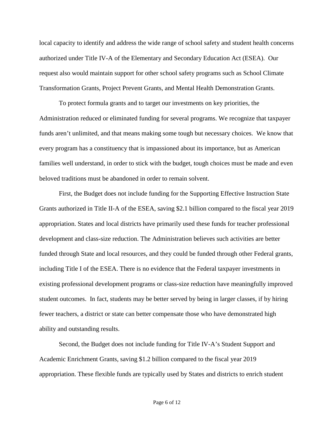local capacity to identify and address the wide range of school safety and student health concerns authorized under Title IV-A of the Elementary and Secondary Education Act (ESEA). Our request also would maintain support for other school safety programs such as School Climate Transformation Grants, Project Prevent Grants, and Mental Health Demonstration Grants.

To protect formula grants and to target our investments on key priorities, the Administration reduced or eliminated funding for several programs. We recognize that taxpayer funds aren't unlimited, and that means making some tough but necessary choices. We know that every program has a constituency that is impassioned about its importance, but as American families well understand, in order to stick with the budget, tough choices must be made and even beloved traditions must be abandoned in order to remain solvent.

First, the Budget does not include funding for the Supporting Effective Instruction State Grants authorized in Title II-A of the ESEA, saving \$2.1 billion compared to the fiscal year 2019 appropriation. States and local districts have primarily used these funds for teacher professional development and class-size reduction. The Administration believes such activities are better funded through State and local resources, and they could be funded through other Federal grants, including Title I of the ESEA. There is no evidence that the Federal taxpayer investments in existing professional development programs or class-size reduction have meaningfully improved student outcomes. In fact, students may be better served by being in larger classes, if by hiring fewer teachers, a district or state can better compensate those who have demonstrated high ability and outstanding results.

Second, the Budget does not include funding for Title IV-A's Student Support and Academic Enrichment Grants, saving \$1.2 billion compared to the fiscal year 2019 appropriation. These flexible funds are typically used by States and districts to enrich student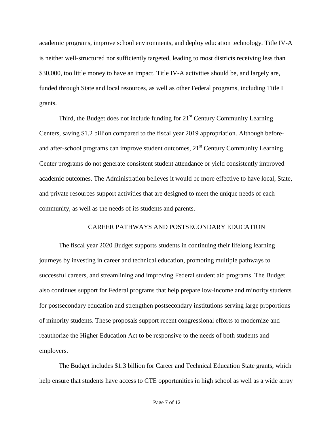academic programs, improve school environments, and deploy education technology. Title IV-A is neither well-structured nor sufficiently targeted, leading to most districts receiving less than \$30,000, too little money to have an impact. Title IV-A activities should be, and largely are, funded through State and local resources, as well as other Federal programs, including Title I grants.

Third, the Budget does not include funding for  $21<sup>st</sup>$  Century Community Learning Centers, saving \$1.2 billion compared to the fiscal year 2019 appropriation. Although beforeand after-school programs can improve student outcomes,  $21<sup>st</sup>$  Century Community Learning Center programs do not generate consistent student attendance or yield consistently improved academic outcomes. The Administration believes it would be more effective to have local, State, and private resources support activities that are designed to meet the unique needs of each community, as well as the needs of its students and parents.

#### CAREER PATHWAYS AND POSTSECONDARY EDUCATION

The fiscal year 2020 Budget supports students in continuing their lifelong learning journeys by investing in career and technical education, promoting multiple pathways to successful careers, and streamlining and improving Federal student aid programs. The Budget also continues support for Federal programs that help prepare low-income and minority students for postsecondary education and strengthen postsecondary institutions serving large proportions of minority students. These proposals support recent congressional efforts to modernize and reauthorize the Higher Education Act to be responsive to the needs of both students and employers.

The Budget includes \$1.3 billion for Career and Technical Education State grants, which help ensure that students have access to CTE opportunities in high school as well as a wide array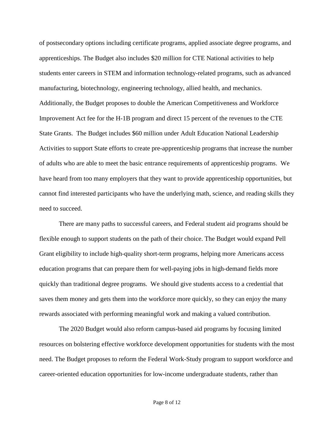of postsecondary options including certificate programs, applied associate degree programs, and apprenticeships. The Budget also includes \$20 million for CTE National activities to help students enter careers in STEM and information technology-related programs, such as advanced manufacturing, biotechnology, engineering technology, allied health, and mechanics. Additionally, the Budget proposes to double the American Competitiveness and Workforce Improvement Act fee for the H-1B program and direct 15 percent of the revenues to the CTE State Grants. The Budget includes \$60 million under Adult Education National Leadership Activities to support State efforts to create pre-apprenticeship programs that increase the number of adults who are able to meet the basic entrance requirements of apprenticeship programs. We have heard from too many employers that they want to provide apprenticeship opportunities, but cannot find interested participants who have the underlying math, science, and reading skills they need to succeed.

There are many paths to successful careers, and Federal student aid programs should be flexible enough to support students on the path of their choice. The Budget would expand Pell Grant eligibility to include high-quality short-term programs, helping more Americans access education programs that can prepare them for well-paying jobs in high-demand fields more quickly than traditional degree programs. We should give students access to a credential that saves them money and gets them into the workforce more quickly, so they can enjoy the many rewards associated with performing meaningful work and making a valued contribution.

The 2020 Budget would also reform campus-based aid programs by focusing limited resources on bolstering effective workforce development opportunities for students with the most need. The Budget proposes to reform the Federal Work-Study program to support workforce and career-oriented education opportunities for low-income undergraduate students, rather than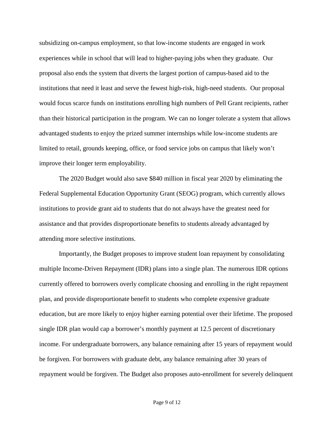subsidizing on-campus employment, so that low-income students are engaged in work experiences while in school that will lead to higher-paying jobs when they graduate. Our proposal also ends the system that diverts the largest portion of campus-based aid to the institutions that need it least and serve the fewest high-risk, high-need students. Our proposal would focus scarce funds on institutions enrolling high numbers of Pell Grant recipients, rather than their historical participation in the program. We can no longer tolerate a system that allows advantaged students to enjoy the prized summer internships while low-income students are limited to retail, grounds keeping, office, or food service jobs on campus that likely won't improve their longer term employability.

The 2020 Budget would also save \$840 million in fiscal year 2020 by eliminating the Federal Supplemental Education Opportunity Grant (SEOG) program, which currently allows institutions to provide grant aid to students that do not always have the greatest need for assistance and that provides disproportionate benefits to students already advantaged by attending more selective institutions.

Importantly, the Budget proposes to improve student loan repayment by consolidating multiple Income-Driven Repayment (IDR) plans into a single plan. The numerous IDR options currently offered to borrowers overly complicate choosing and enrolling in the right repayment plan, and provide disproportionate benefit to students who complete expensive graduate education, but are more likely to enjoy higher earning potential over their lifetime. The proposed single IDR plan would cap a borrower's monthly payment at 12.5 percent of discretionary income. For undergraduate borrowers, any balance remaining after 15 years of repayment would be forgiven. For borrowers with graduate debt, any balance remaining after 30 years of repayment would be forgiven. The Budget also proposes auto-enrollment for severely delinquent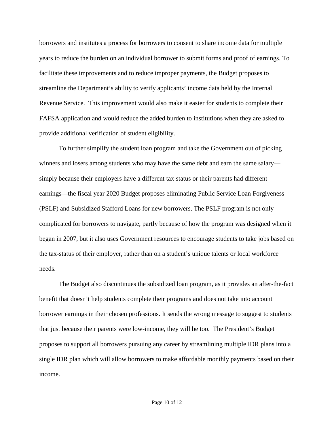borrowers and institutes a process for borrowers to consent to share income data for multiple years to reduce the burden on an individual borrower to submit forms and proof of earnings. To facilitate these improvements and to reduce improper payments, the Budget proposes to streamline the Department's ability to verify applicants' income data held by the Internal Revenue Service. This improvement would also make it easier for students to complete their FAFSA application and would reduce the added burden to institutions when they are asked to provide additional verification of student eligibility.

To further simplify the student loan program and take the Government out of picking winners and losers among students who may have the same debt and earn the same salary simply because their employers have a different tax status or their parents had different earnings—the fiscal year 2020 Budget proposes eliminating Public Service Loan Forgiveness (PSLF) and Subsidized Stafford Loans for new borrowers. The PSLF program is not only complicated for borrowers to navigate, partly because of how the program was designed when it began in 2007, but it also uses Government resources to encourage students to take jobs based on the tax-status of their employer, rather than on a student's unique talents or local workforce needs.

The Budget also discontinues the subsidized loan program, as it provides an after-the-fact benefit that doesn't help students complete their programs and does not take into account borrower earnings in their chosen professions. It sends the wrong message to suggest to students that just because their parents were low-income, they will be too. The President's Budget proposes to support all borrowers pursuing any career by streamlining multiple IDR plans into a single IDR plan which will allow borrowers to make affordable monthly payments based on their income.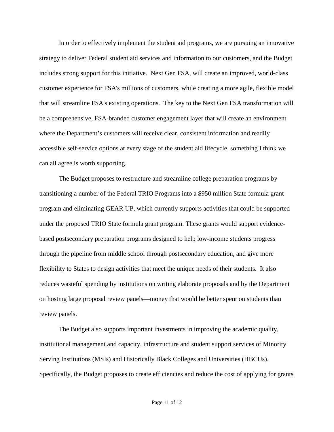In order to effectively implement the student aid programs, we are pursuing an innovative strategy to deliver Federal student aid services and information to our customers, and the Budget includes strong support for this initiative. Next Gen FSA, will create an improved, world-class customer experience for FSA's millions of customers, while creating a more agile, flexible model that will streamline FSA's existing operations. The key to the Next Gen FSA transformation will be a comprehensive, FSA-branded customer engagement layer that will create an environment where the Department's customers will receive clear, consistent information and readily accessible self-service options at every stage of the student aid lifecycle, something I think we can all agree is worth supporting.

The Budget proposes to restructure and streamline college preparation programs by transitioning a number of the Federal TRIO Programs into a \$950 million State formula grant program and eliminating GEAR UP, which currently supports activities that could be supported under the proposed TRIO State formula grant program. These grants would support evidencebased postsecondary preparation programs designed to help low-income students progress through the pipeline from middle school through postsecondary education, and give more flexibility to States to design activities that meet the unique needs of their students. It also reduces wasteful spending by institutions on writing elaborate proposals and by the Department on hosting large proposal review panels—money that would be better spent on students than review panels.

The Budget also supports important investments in improving the academic quality, institutional management and capacity, infrastructure and student support services of Minority Serving Institutions (MSIs) and Historically Black Colleges and Universities (HBCUs). Specifically, the Budget proposes to create efficiencies and reduce the cost of applying for grants